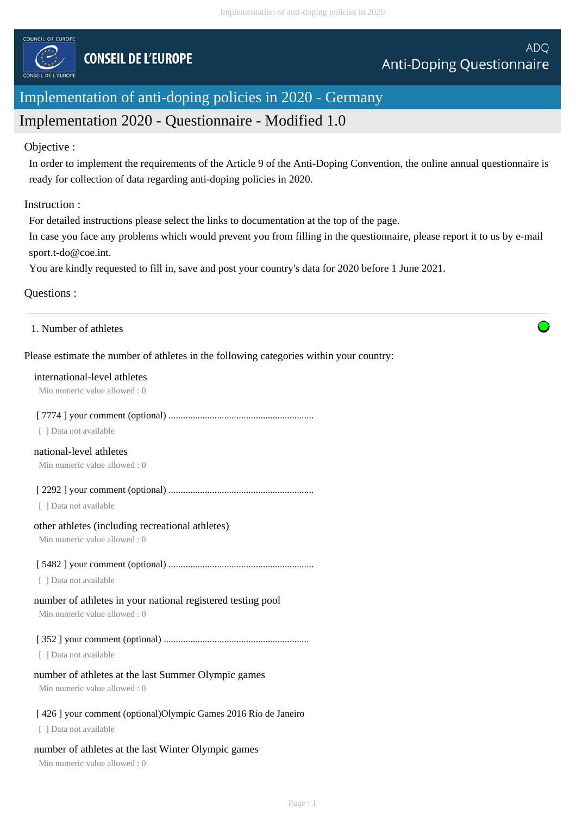

# Implementation of anti-doping policies in 2020 - Germany

# Implementation 2020 - Questionnaire - Modified 1.0

#### Objective :

In order to implement the requirements of the Article 9 of the Anti-Doping Convention, the online annual questionnaire is ready for collection of data regarding anti-doping policies in 2020.

# Instruction :

For detailed instructions please select the links to documentation at the top of the page.

In case you face any problems which would prevent you from filling in the questionnaire, please report it to us by e-mail sport.t-do@coe.int.

You are kindly requested to fill in, save and post your country's data for 2020 before 1 June 2021.

# Questions :

1. Number of athletes

# Please estimate the number of athletes in the following categories within your country:

#### international-level athletes

Min numeric value allowed : 0

#### [ 7774 ] your comment (optional) ............................................................

[ ] Data not available

# national-level athletes

Min numeric value allowed : 0

[ 2292 ] your comment (optional) ............................................................

[ ] Data not available

#### other athletes (including recreational athletes)

Min numeric value allowed : 0

# [ 5482 ] your comment (optional) ............................................................

[ ] Data not available

#### number of athletes in your national registered testing pool

Min numeric value allowed : 0

#### [ 352 ] your comment (optional) ............................................................

[ ] Data not available

#### number of athletes at the last Summer Olympic games

Min numeric value allowed : 0

#### [ 426 ] your comment (optional)Olympic Games 2016 Rio de Janeiro

[ ] Data not available

#### number of athletes at the last Winter Olympic games

Min numeric value allowed : 0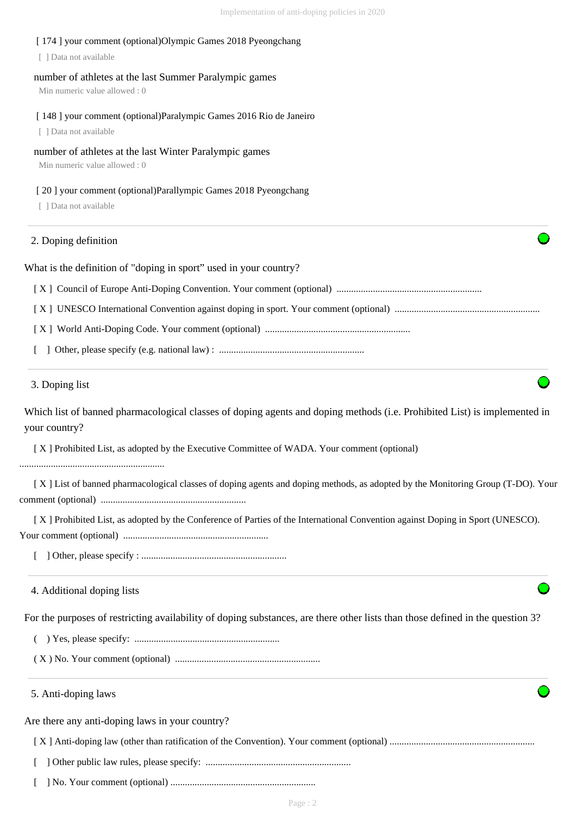# [ 174 ] your comment (optional)Olympic Games 2018 Pyeongchang [ ] Data not available number of athletes at the last Summer Paralympic games Min numeric value allowed : 0 [ 148 ] your comment (optional)Paralympic Games 2016 Rio de Janeiro [ ] Data not available number of athletes at the last Winter Paralympic games Min numeric value allowed : 0 [ 20 ] your comment (optional)Parallympic Games 2018 Pyeongchang [ ] Data not available What is the definition of "doping in sport" used in your country? [ X ] Council of Europe Anti-Doping Convention. Your comment (optional) ............................................................ [ X ] UNESCO International Convention against doping in sport. Your comment (optional) ............................................................ [ X ] World Anti-Doping Code. Your comment (optional) ............................................................ [ ] Other, please specify (e.g. national law) : ............................................................ Which list of banned pharmacological classes of doping agents and doping methods (i.e. Prohibited List) is implemented in your country? [ X ] Prohibited List, as adopted by the Executive Committee of WADA. Your comment (optional) ............................................................ [ X ] List of banned pharmacological classes of doping agents and doping methods, as adopted by the Monitoring Group (T-DO). Your comment (optional) ............................................................ [ X ] Prohibited List, as adopted by the Conference of Parties of the International Convention against Doping in Sport (UNESCO). Your comment (optional) ............................................................ [ ] Other, please specify : ............................................................ For the purposes of restricting availability of doping substances, are there other lists than those defined in the question 3? ( ) Yes, please specify: ............................................................ ( X ) No. Your comment (optional) ............................................................ Are there any anti-doping laws in your country? 2. Doping definition 3. Doping list 4. Additional doping lists 5. Anti-doping laws

[ X ] Anti-doping law (other than ratification of the Convention). Your comment (optional) ............................................................

- [ ] Other public law rules, please specify: ............................................................
- [ ] No. Your comment (optional) ............................................................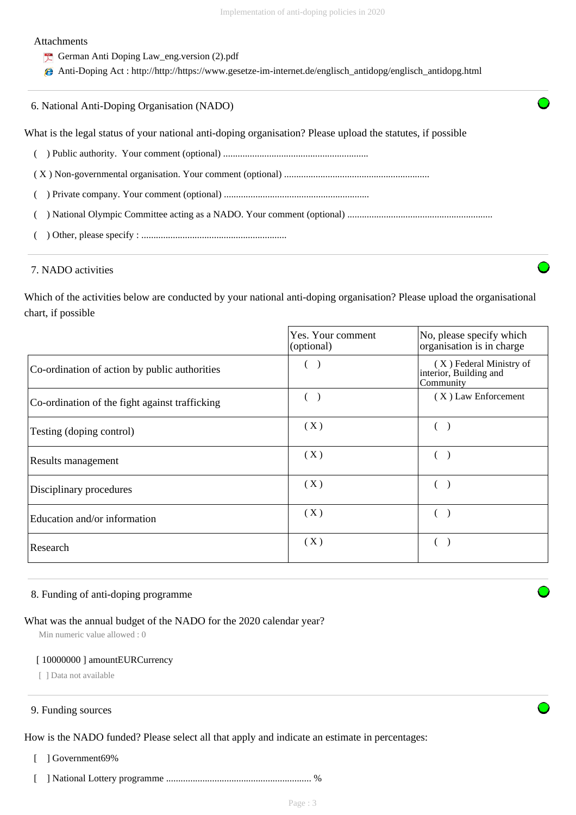#### Attachments

- German Anti Doping Law\_eng.version (2).pdf
- Anti-Doping Act : http://http://https://www.gesetze-im-internet.de/englisch\_antidopg/englisch\_antidopg.html

What is the legal status of your national anti-doping organisation? Please upload the statutes, if possible

( ) Public authority. Your comment (optional) ............................................................

( X ) Non-governmental organisation. Your comment (optional) ............................................................

- ( ) Private company. Your comment (optional) ............................................................
- ( ) National Olympic Committee acting as a NADO. Your comment (optional) ............................................................
- ( ) Other, please specify : ............................................................

## 7. NADO activities

Which of the activities below are conducted by your national anti-doping organisation? Please upload the organisational chart, if possible

|                                                | Yes. Your comment<br>(optional) | No, please specify which<br>organisation is in charge          |
|------------------------------------------------|---------------------------------|----------------------------------------------------------------|
| Co-ordination of action by public authorities  |                                 | (X) Federal Ministry of<br>interior, Building and<br>Community |
| Co-ordination of the fight against trafficking |                                 | $(X)$ Law Enforcement                                          |
| Testing (doping control)                       | (X)                             |                                                                |
| Results management                             | (X)                             |                                                                |
| Disciplinary procedures                        | (X)                             |                                                                |
| Education and/or information                   | (X)                             |                                                                |
| Research                                       | (X)                             |                                                                |

#### 8. Funding of anti-doping programme

# What was the annual budget of the NADO for the 2020 calendar year?

Min numeric value allowed : 0

#### [ 10000000 ] amountEURCurrency

[ ] Data not available

#### 9. Funding sources

How is the NADO funded? Please select all that apply and indicate an estimate in percentages:

- [ ] Government69%
- [ ] National Lottery programme ............................................................ %

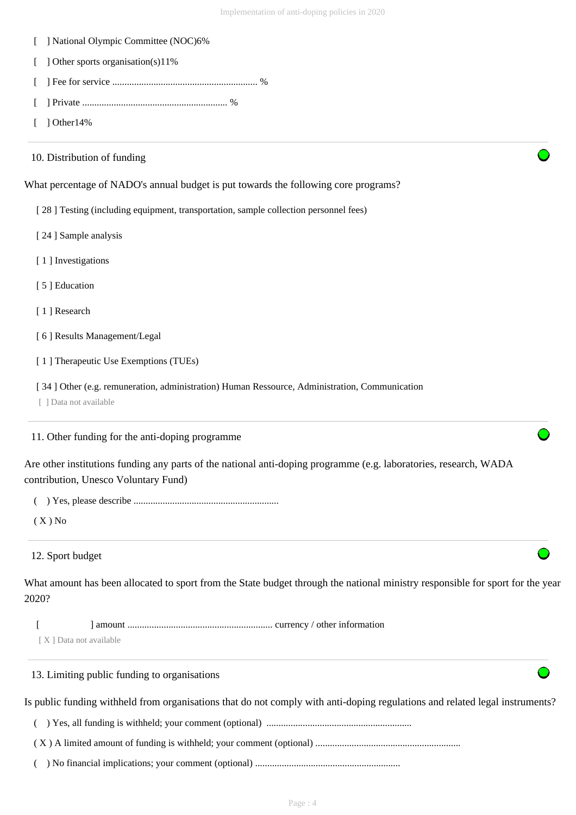- [ ] National Olympic Committee (NOC)6%
- [ ] Other sports organisation(s)11%
- [ ] Fee for service ............................................................ %
- [ ] Private ............................................................ %
- $\lceil$  1 Other 14%

| 10. Distribution of funding                                                                                                                               |
|-----------------------------------------------------------------------------------------------------------------------------------------------------------|
| What percentage of NADO's annual budget is put towards the following core programs?                                                                       |
| [28] Testing (including equipment, transportation, sample collection personnel fees)                                                                      |
| [24] Sample analysis                                                                                                                                      |
| [1] Investigations                                                                                                                                        |
| [5] Education                                                                                                                                             |
| [1] Research                                                                                                                                              |
| [6] Results Management/Legal                                                                                                                              |
| [1] Therapeutic Use Exemptions (TUEs)                                                                                                                     |
| [34] Other (e.g. remuneration, administration) Human Ressource, Administration, Communication<br>[ ] Data not available                                   |
| 11. Other funding for the anti-doping programme                                                                                                           |
| Are other institutions funding any parts of the national anti-doping programme (e.g. laboratories, research, WADA<br>contribution, Unesco Voluntary Fund) |
|                                                                                                                                                           |
| $(X)$ No                                                                                                                                                  |
| 12. Sport budget                                                                                                                                          |
| What amount has been allocated to sport from the State budget through the national ministry responsible for sport for the year<br>2020?                   |
| [X] Data not available                                                                                                                                    |
| 13. Limiting public funding to organisations                                                                                                              |
| Is public funding withheld from organisations that do not comply with anti-doping regulations and related legal instruments?                              |
|                                                                                                                                                           |
|                                                                                                                                                           |

( ) No financial implications; your comment (optional) ............................................................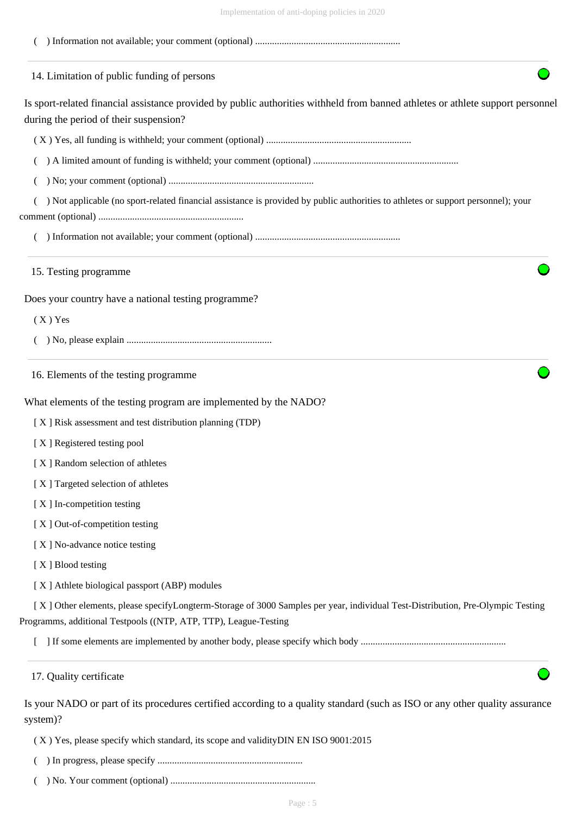| $\mu$ and $\mu$ and $\mu$ and $\mu$ and $\mu$ and $\mu$ and $\mu$ and $\mu$ and $\mu$ and $\mu$ and $\mu$ and $\mu$ and $\mu$ and $\mu$ and $\mu$ and $\mu$ and $\mu$ and $\mu$ and $\mu$ and $\mu$ and $\mu$ and $\mu$ and $\mu$ and $\mu$ and $\mu$ |
|-------------------------------------------------------------------------------------------------------------------------------------------------------------------------------------------------------------------------------------------------------|
|                                                                                                                                                                                                                                                       |
| 14. Limitation of public funding of persons                                                                                                                                                                                                           |
| Is sport-related financial assistance provided by public authorities withheld from banned athletes or athlete support personnel<br>during the period of their suspension?                                                                             |
|                                                                                                                                                                                                                                                       |
|                                                                                                                                                                                                                                                       |
|                                                                                                                                                                                                                                                       |
| ) Not applicable (no sport-related financial assistance is provided by public authorities to athletes or support personnel); your                                                                                                                     |
|                                                                                                                                                                                                                                                       |
| 15. Testing programme                                                                                                                                                                                                                                 |
| Does your country have a national testing programme?                                                                                                                                                                                                  |
| $(X)$ Yes                                                                                                                                                                                                                                             |
|                                                                                                                                                                                                                                                       |
| 16. Elements of the testing programme                                                                                                                                                                                                                 |
| What elements of the testing program are implemented by the NADO?                                                                                                                                                                                     |
| [X] Risk assessment and test distribution planning (TDP)                                                                                                                                                                                              |
| [X] Registered testing pool                                                                                                                                                                                                                           |
| [X] Random selection of athletes                                                                                                                                                                                                                      |
| [X] Targeted selection of athletes                                                                                                                                                                                                                    |
| [X] In-competition testing                                                                                                                                                                                                                            |
| [X] Out-of-competition testing                                                                                                                                                                                                                        |
| [X] No-advance notice testing                                                                                                                                                                                                                         |
| [X] Blood testing                                                                                                                                                                                                                                     |
| [X] Athlete biological passport (ABP) modules                                                                                                                                                                                                         |
| [X] Other elements, please specifyLongterm-Storage of 3000 Samples per year, individual Test-Distribution, Pre-Olympic Testing<br>Programms, additional Testpools ((NTP, ATP, TTP), League-Testing                                                    |
|                                                                                                                                                                                                                                                       |
| 17. Quality certificate                                                                                                                                                                                                                               |
| Is your NADO or part of its procedures certified according to a quality standard (such as ISO or any other quality assurance<br>system)?                                                                                                              |

( X ) Yes, please specify which standard, its scope and validityDIN EN ISO 9001:2015

- ( ) In progress, please specify ............................................................
- ( ) No. Your comment (optional) ............................................................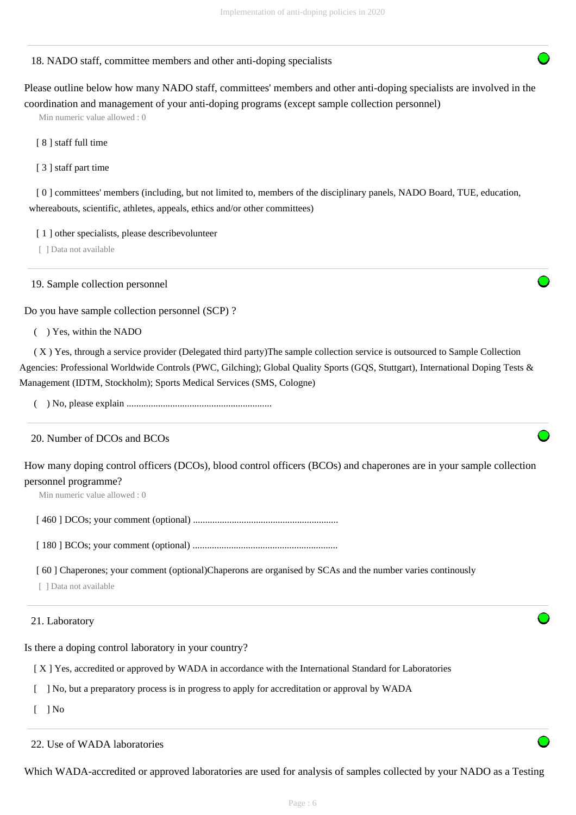#### 18. NADO staff, committee members and other anti-doping specialists

Please outline below how many NADO staff, committees' members and other anti-doping specialists are involved in the coordination and management of your anti-doping programs (except sample collection personnel)

Min numeric value allowed : 0

[ 8 ] staff full time

[ 3 ] staff part time

[ 0 ] committees' members (including, but not limited to, members of the disciplinary panels, NADO Board, TUE, education, whereabouts, scientific, athletes, appeals, ethics and/or other committees)

[1] other specialists, please describevolunteer

[ ] Data not available

19. Sample collection personnel

Do you have sample collection personnel (SCP) ?

( ) Yes, within the NADO

 ( X ) Yes, through a service provider (Delegated third party)The sample collection service is outsourced to Sample Collection Agencies: Professional Worldwide Controls (PWC, Gilching); Global Quality Sports (GQS, Stuttgart), International Doping Tests & Management (IDTM, Stockholm); Sports Medical Services (SMS, Cologne)

( ) No, please explain ............................................................

# 20. Number of DCOs and BCOs

How many doping control officers (DCOs), blood control officers (BCOs) and chaperones are in your sample collection personnel programme?

Min numeric value allowed : 0

[ 460 ] DCOs; your comment (optional) ............................................................

[ 180 ] BCOs; your comment (optional) ............................................................

[ 60 ] Chaperones; your comment (optional)Chaperons are organised by SCAs and the number varies continously

[ ] Data not available

#### 21. Laboratory

Is there a doping control laboratory in your country?

[ X ] Yes, accredited or approved by WADA in accordance with the International Standard for Laboratories

[ ] No, but a preparatory process is in progress to apply for accreditation or approval by WADA

 $\lceil$   $\rceil$  No

22. Use of WADA laboratories

Which WADA-accredited or approved laboratories are used for analysis of samples collected by your NADO as a Testing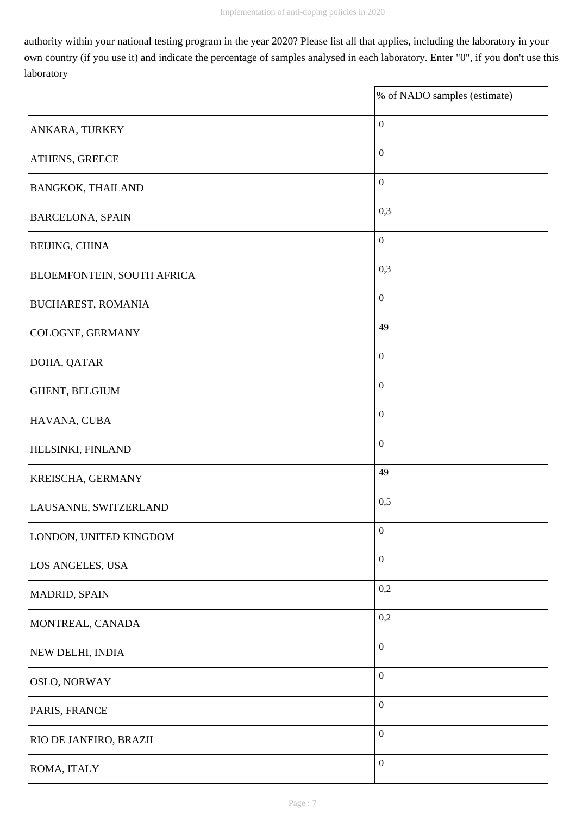$\overline{\mathbf{1}}$ 

authority within your national testing program in the year 2020? Please list all that applies, including the laboratory in your own country (if you use it) and indicate the percentage of samples analysed in each laboratory. Enter "0", if you don't use this laboratory

|                                   | % of NADO samples (estimate) |
|-----------------------------------|------------------------------|
| ANKARA, TURKEY                    | $\boldsymbol{0}$             |
| <b>ATHENS, GREECE</b>             | $\boldsymbol{0}$             |
| <b>BANGKOK, THAILAND</b>          | $\boldsymbol{0}$             |
| <b>BARCELONA, SPAIN</b>           | 0,3                          |
| <b>BEIJING, CHINA</b>             | $\boldsymbol{0}$             |
| <b>BLOEMFONTEIN, SOUTH AFRICA</b> | 0,3                          |
| <b>BUCHAREST, ROMANIA</b>         | $\boldsymbol{0}$             |
| COLOGNE, GERMANY                  | 49                           |
| DOHA, QATAR                       | $\boldsymbol{0}$             |
| GHENT, BELGIUM                    | $\boldsymbol{0}$             |
| HAVANA, CUBA                      | $\boldsymbol{0}$             |
| <b>HELSINKI, FINLAND</b>          | $\boldsymbol{0}$             |
| <b>KREISCHA, GERMANY</b>          | 49                           |
| LAUSANNE, SWITZERLAND             | 0,5                          |
| LONDON, UNITED KINGDOM            | $\boldsymbol{0}$             |
| LOS ANGELES, USA                  | $\boldsymbol{0}$             |
| MADRID, SPAIN                     | 0,2                          |
| MONTREAL, CANADA                  | 0,2                          |
| NEW DELHI, INDIA                  | $\boldsymbol{0}$             |
| <b>OSLO, NORWAY</b>               | $\boldsymbol{0}$             |
| PARIS, FRANCE                     | $\boldsymbol{0}$             |
| <b>RIO DE JANEIRO, BRAZIL</b>     | $\boldsymbol{0}$             |
| ROMA, ITALY                       | $\boldsymbol{0}$             |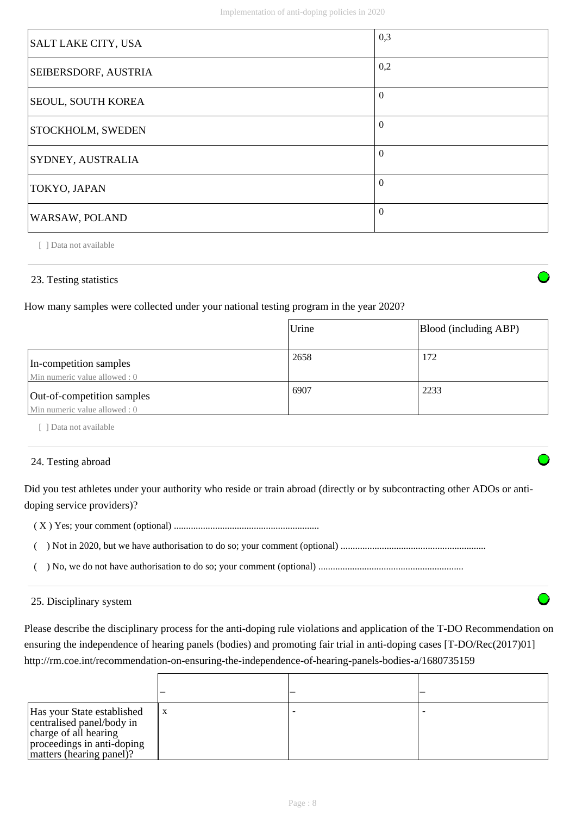| SALT LAKE CITY, USA      | 0,3      |
|--------------------------|----------|
| SEIBERSDORF, AUSTRIA     | 0,2      |
| SEOUL, SOUTH KOREA       | $\Omega$ |
| <b>STOCKHOLM, SWEDEN</b> | $\Omega$ |
| SYDNEY, AUSTRALIA        | $\theta$ |
| TOKYO, JAPAN             | $\Omega$ |
| WARSAW, POLAND           | $\Omega$ |

[ ] Data not available

# 23. Testing statistics

How many samples were collected under your national testing program in the year 2020?

|                                                             | Urine | Blood (including ABP) |
|-------------------------------------------------------------|-------|-----------------------|
| In-competition samples<br>Min numeric value allowed: 0      | 2658  | 172                   |
| Out-of-competition samples<br>Min numeric value allowed : 0 | 6907  | 2233                  |

[ ] Data not available

#### 24. Testing abroad

Did you test athletes under your authority who reside or train abroad (directly or by subcontracting other ADOs or antidoping service providers)?

( X ) Yes; your comment (optional) ............................................................

( ) Not in 2020, but we have authorisation to do so; your comment (optional) ............................................................

( ) No, we do not have authorisation to do so; your comment (optional) ............................................................

#### 25. Disciplinary system

Please describe the disciplinary process for the anti-doping rule violations and application of the T-DO Recommendation on ensuring the independence of hearing panels (bodies) and promoting fair trial in anti-doping cases [T-DO/Rec(2017)01] http://rm.coe.int/recommendation-on-ensuring-the-independence-of-hearing-panels-bodies-a/1680735159

| Has your State established<br>centralised panel/body in<br>charge of all hearing<br>proceedings in anti-doping<br>matters (hearing panel)? | X |  |
|--------------------------------------------------------------------------------------------------------------------------------------------|---|--|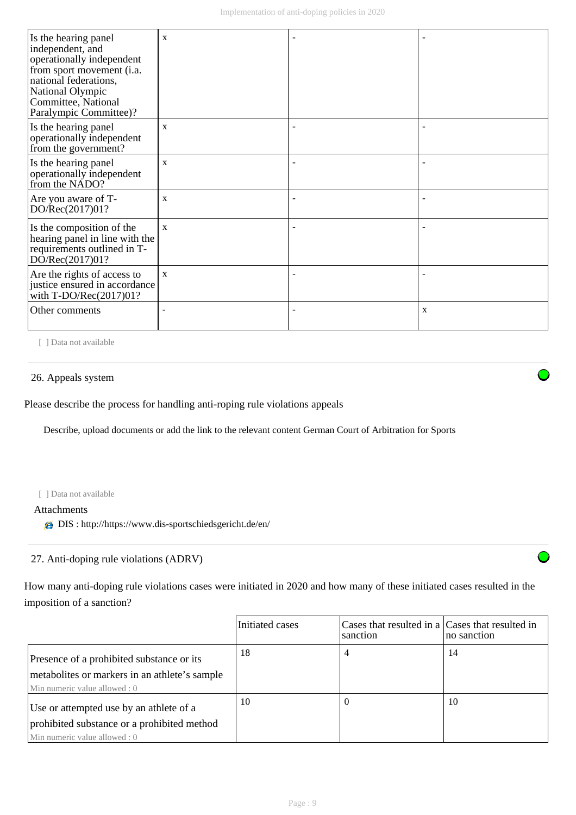| Is the hearing panel<br>independent, and<br>operationally independent<br>from sport movement (i.a.<br>national federations,<br>National Olympic<br>Committee, National<br>Paralympic Committee)? | X            |   |
|--------------------------------------------------------------------------------------------------------------------------------------------------------------------------------------------------|--------------|---|
| Is the hearing panel<br>operationally independent<br>from the government?                                                                                                                        | $\mathbf{x}$ |   |
| Is the hearing panel<br>operationally independent<br>from the NADO?                                                                                                                              | $\mathbf{x}$ |   |
| Are you aware of T-<br>DO/Rec(2017)01?                                                                                                                                                           | X            |   |
| Is the composition of the<br>hearing panel in line with the<br>requirements outlined in T-<br>DO/Rec(2017)01?                                                                                    | $\mathbf{x}$ |   |
| Are the rights of access to<br>justice ensured in accordance<br>with $T\text{-DO/Rec}(2017)01?$                                                                                                  | $\mathbf{x}$ |   |
| Other comments                                                                                                                                                                                   |              | X |

[ ] Data not available

# 26. Appeals system

Please describe the process for handling anti-roping rule violations appeals

Describe, upload documents or add the link to the relevant content German Court of Arbitration for Sports

#### [ ] Data not available

Attachments

DIS : http://https://www.dis-sportschiedsgericht.de/en/

# 27. Anti-doping rule violations (ADRV)

How many anti-doping rule violations cases were initiated in 2020 and how many of these initiated cases resulted in the imposition of a sanction?

|                                                                                                                             | Initiated cases | Cases that resulted in a Cases that resulted in<br>sanction | no sanction |
|-----------------------------------------------------------------------------------------------------------------------------|-----------------|-------------------------------------------------------------|-------------|
| Presence of a prohibited substance or its<br>metabolities or markers in an athlete's sample<br>Min numeric value allowed: 0 | 18              | 4                                                           | 14          |
| Use or attempted use by an athlete of a<br>prohibited substance or a prohibited method<br>Min numeric value allowed: 0      | 10              |                                                             | 10          |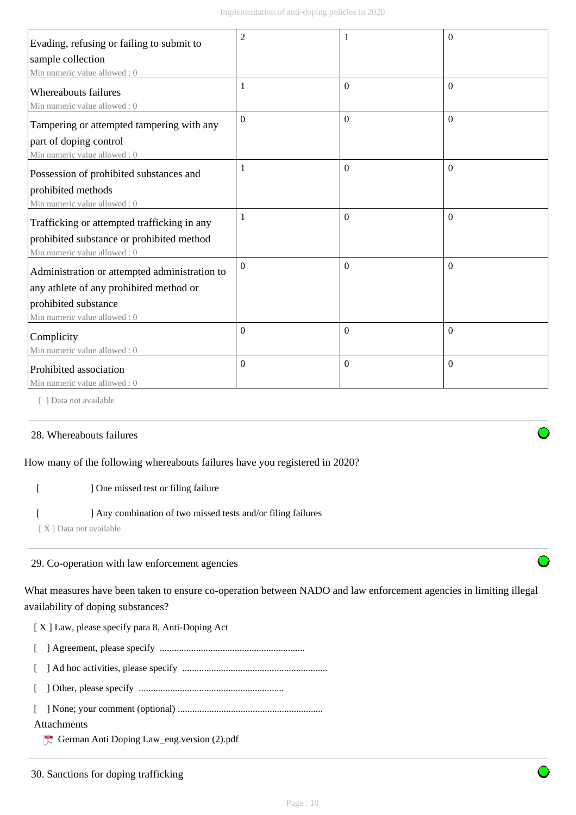| Evading, refusing or failing to submit to                   | $\overline{2}$ |              | $\theta$       |
|-------------------------------------------------------------|----------------|--------------|----------------|
| sample collection                                           |                |              |                |
| Min numeric value allowed: 0                                |                |              |                |
| <b>Whereabouts failures</b><br>Min numeric value allowed: 0 | 1              | $\mathbf{0}$ | $\overline{0}$ |
| Tampering or attempted tampering with any                   | $\Omega$       | $\Omega$     | $\Omega$       |
| part of doping control                                      |                |              |                |
| Min numeric value allowed: 0                                |                |              |                |
| Possession of prohibited substances and                     | 1              | $\Omega$     | $\Omega$       |
| prohibited methods                                          |                |              |                |
| Min numeric value allowed: 0                                |                |              |                |
| Trafficking or attempted trafficking in any                 | 1              | $\Omega$     | $\Omega$       |
| prohibited substance or prohibited method                   |                |              |                |
| Min numeric value allowed: 0                                |                |              |                |
| Administration or attempted administration to               | $\Omega$       | $\mathbf{0}$ | $\theta$       |
| any athlete of any prohibited method or                     |                |              |                |
| prohibited substance                                        |                |              |                |
| Min numeric value allowed: 0                                |                |              |                |
| Complicity                                                  | $\Omega$       | $\Omega$     | $\Omega$       |
| Min numeric value allowed: 0                                |                |              |                |
| Prohibited association                                      | $\overline{0}$ | $\mathbf{0}$ | $\theta$       |
| Min numeric value allowed: 0                                |                |              |                |

[ ] Data not available

# 28. Whereabouts failures

# How many of the following whereabouts failures have you registered in 2020?

# [ ] One missed test or filing failure

# [ ] Any combination of two missed tests and/or filing failures

[ X ] Data not available

# 29. Co-operation with law enforcement agencies

What measures have been taken to ensure co-operation between NADO and law enforcement agencies in limiting illegal availability of doping substances?

[ X ] Law, please specify para 8, Anti-Doping Act

- [ ] Agreement, please specify ............................................................
- [ ] Ad hoc activities, please specify ............................................................
- [ ] Other, please specify ............................................................
- [ ] None; your comment (optional) ............................................................

# Attachments

German Anti Doping Law\_eng.version (2).pdf



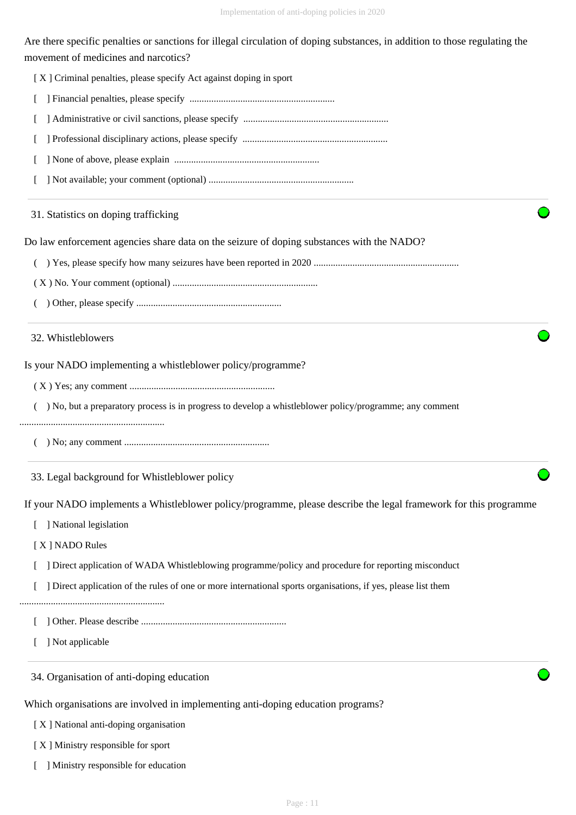Are there specific penalties or sanctions for illegal circulation of doping substances, in addition to those regulating the movement of medicines and narcotics?

| [X] Criminal penalties, please specify Act against doping in sport                                               |
|------------------------------------------------------------------------------------------------------------------|
|                                                                                                                  |
|                                                                                                                  |
|                                                                                                                  |
|                                                                                                                  |
|                                                                                                                  |
| 31. Statistics on doping trafficking                                                                             |
| Do law enforcement agencies share data on the seizure of doping substances with the NADO?                        |
|                                                                                                                  |
|                                                                                                                  |
|                                                                                                                  |
| 32. Whistleblowers                                                                                               |
| Is your NADO implementing a whistleblower policy/programme?                                                      |
|                                                                                                                  |
| ) No, but a preparatory process is in progress to develop a whistleblower policy/programme; any comment          |
|                                                                                                                  |
|                                                                                                                  |
| 33. Legal background for Whistleblower policy                                                                    |
| If your NADO implements a Whistleblower policy/programme, please describe the legal framework for this programme |
| ] National legislation                                                                                           |
| [X] NADO Rules                                                                                                   |
| ] Direct application of WADA Whistleblowing programme/policy and procedure for reporting misconduct              |
| ] Direct application of the rules of one or more international sports organisations, if yes, please list them    |
|                                                                                                                  |
| ] Not applicable                                                                                                 |
| 34. Organisation of anti-doping education                                                                        |
| Which organisations are involved in implementing anti-doping education programs?                                 |
| [X] National anti-doping organisation                                                                            |
| [X] Ministry responsible for sport                                                                               |

[ ] Ministry responsible for education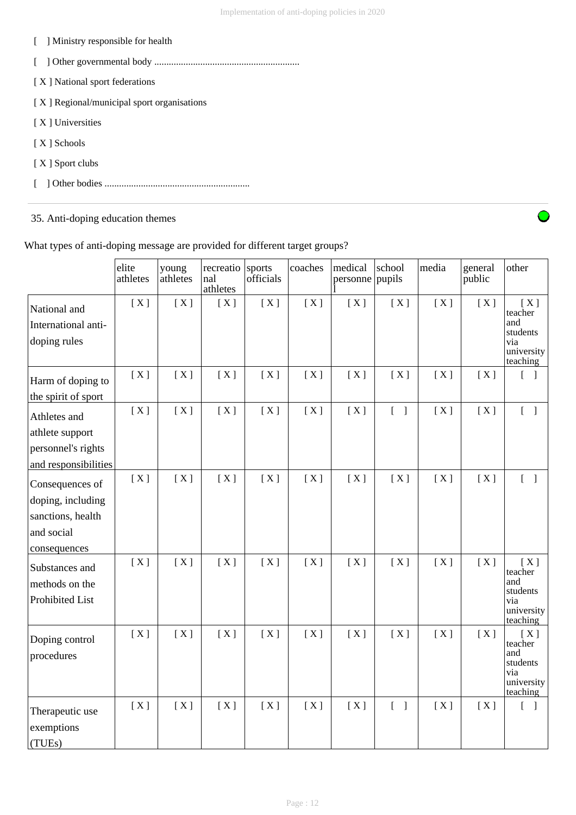- [ ] Ministry responsible for health
- [ ] Other governmental body ............................................................
- [ X ] National sport federations
- [ X ] Regional/municipal sport organisations
- [ X ] Universities
- [ X ] Schools
- [ X ] Sport clubs
- [ ] Other bodies ............................................................

35. Anti-doping education themes

|  |  | What types of anti-doping message are provided for different target groups? |
|--|--|-----------------------------------------------------------------------------|
|  |  |                                                                             |
|  |  |                                                                             |
|  |  |                                                                             |

|                                                                                         | elite<br>athletes | young<br>athletes | recreatio<br>nal<br>athletes | sports<br>officials | coaches | medical<br>personne pupils | school                            | media | general<br>public | other                                                              |
|-----------------------------------------------------------------------------------------|-------------------|-------------------|------------------------------|---------------------|---------|----------------------------|-----------------------------------|-------|-------------------|--------------------------------------------------------------------|
| National and<br>International anti-<br>doping rules                                     | [X]               | [X]               | [X]                          | [X]                 | [X]     | [X]                        | [X]                               | [X]   | [X]               | [X]<br>teacher<br>and<br>students<br>via<br>university<br>teaching |
| Harm of doping to<br>the spirit of sport                                                | [X]               | [X]               | [X]                          | [X]                 | [X]     | [X]                        | [X]                               | [X]   | [X]               | $\begin{bmatrix} 1 \end{bmatrix}$                                  |
| Athletes and<br>athlete support<br>personnel's rights<br>and responsibilities           | [X]               | [X]               | [X]                          | [X]                 | [X]     | [X]                        | $\begin{bmatrix} 1 \end{bmatrix}$ | [X]   | [X]               | $\overline{a}$<br>$\overline{\phantom{a}}$                         |
| Consequences of<br>doping, including<br>sanctions, health<br>and social<br>consequences | [X]               | [X]               | [X]                          | [X]                 | [X]     | [X]                        | [X]                               | [X]   | [X]               | $\begin{bmatrix} 1 \end{bmatrix}$                                  |
| Substances and<br>methods on the<br>Prohibited List                                     | [X]               | [X]               | [X]                          | [X]                 | [X]     | [X]                        | [X]                               | [X]   | [X]               | [X]<br>teacher<br>and<br>students<br>via<br>university<br>teaching |
| Doping control<br>procedures                                                            | [X]               | [X]               | [X]                          | [X]                 | [X]     | [X]                        | [X]                               | [X]   | [X]               | [X]<br>teacher<br>and<br>students<br>via<br>university<br>teaching |
| Therapeutic use<br>exemptions<br>(TUEs)                                                 | [X]               | [X]               | [X]                          | [X]                 | [X]     | [X]                        | $[\ ]$                            | [X]   | [X]               | $\begin{bmatrix} 1 \end{bmatrix}$                                  |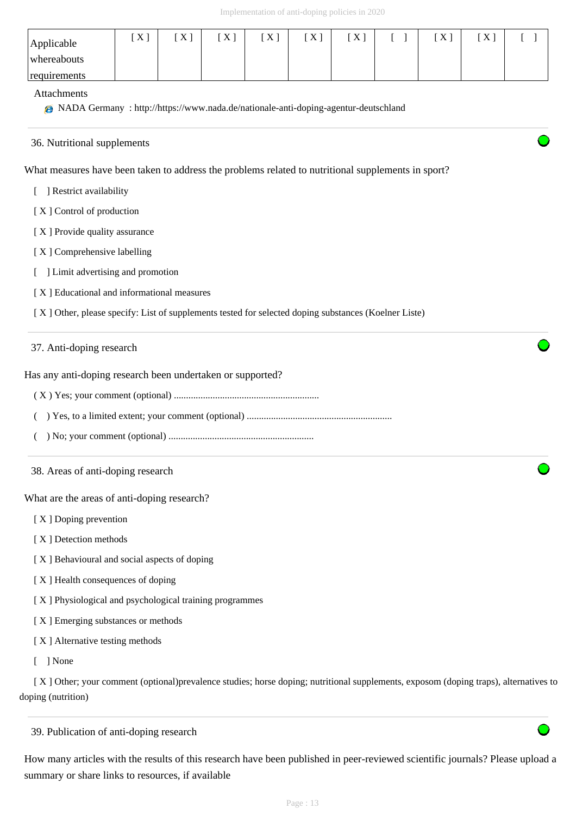|                                                                                                                            |     |     |     | Implementation of anti-doping policies in 2020 |     |     |          |     |     |                                            |
|----------------------------------------------------------------------------------------------------------------------------|-----|-----|-----|------------------------------------------------|-----|-----|----------|-----|-----|--------------------------------------------|
| Applicable<br>whereabouts                                                                                                  | [X] | [X] | [X] | [X]                                            | [X] | [X] | - 1<br>L | [X] | [X] | $\mathbf{L}$                               |
| requirements<br>Attachments<br><b>@</b> NADA Germany: http://https://www.nada.de/nationale-anti-doping-agentur-deutschland |     |     |     |                                                |     |     |          |     |     |                                            |
| 36. Nutritional supplements                                                                                                |     |     |     |                                                |     |     |          |     |     |                                            |
| What measures have been taken to address the problems related to nutritional supplements in sport?                         |     |     |     |                                                |     |     |          |     |     |                                            |
| ] Restrict availability                                                                                                    |     |     |     |                                                |     |     |          |     |     |                                            |
| [X] Control of production                                                                                                  |     |     |     |                                                |     |     |          |     |     |                                            |
| [X] Provide quality assurance                                                                                              |     |     |     |                                                |     |     |          |     |     |                                            |
| [X] Comprehensive labelling<br>] Limit advertising and promotion                                                           |     |     |     |                                                |     |     |          |     |     |                                            |
|                                                                                                                            |     |     |     |                                                |     |     |          |     |     | [X] Educational and informational measures |
| [X] Other, please specify: List of supplements tested for selected doping substances (Koelner Liste)                       |     |     |     |                                                |     |     |          |     |     |                                            |
| 37. Anti-doping research                                                                                                   |     |     |     |                                                |     |     |          |     |     |                                            |
| Has any anti-doping research been undertaken or supported?                                                                 |     |     |     |                                                |     |     |          |     |     |                                            |
|                                                                                                                            |     |     |     |                                                |     |     |          |     |     |                                            |
|                                                                                                                            |     |     |     |                                                |     |     |          |     |     |                                            |
|                                                                                                                            |     |     |     |                                                |     |     |          |     |     |                                            |
| 38. Areas of anti-doping research                                                                                          |     |     |     |                                                |     |     |          |     |     |                                            |
| What are the areas of anti-doping research?                                                                                |     |     |     |                                                |     |     |          |     |     |                                            |
| [X] Doping prevention                                                                                                      |     |     |     |                                                |     |     |          |     |     |                                            |
| [X] Detection methods                                                                                                      |     |     |     |                                                |     |     |          |     |     |                                            |
| [X] Behavioural and social aspects of doping                                                                               |     |     |     |                                                |     |     |          |     |     |                                            |
| [X] Health consequences of doping                                                                                          |     |     |     |                                                |     |     |          |     |     |                                            |
| [X] Physiological and psychological training programmes                                                                    |     |     |     |                                                |     |     |          |     |     |                                            |
| [X] Emerging substances or methods                                                                                         |     |     |     |                                                |     |     |          |     |     |                                            |
|                                                                                                                            |     |     |     |                                                |     |     |          |     |     |                                            |

[ X ] Alternative testing methods

[ ] None

 [ X ] Other; your comment (optional)prevalence studies; horse doping; nutritional supplements, exposom (doping traps), alternatives to doping (nutrition)

39. Publication of anti-doping research

How many articles with the results of this research have been published in peer-reviewed scientific journals? Please upload a summary or share links to resources, if available